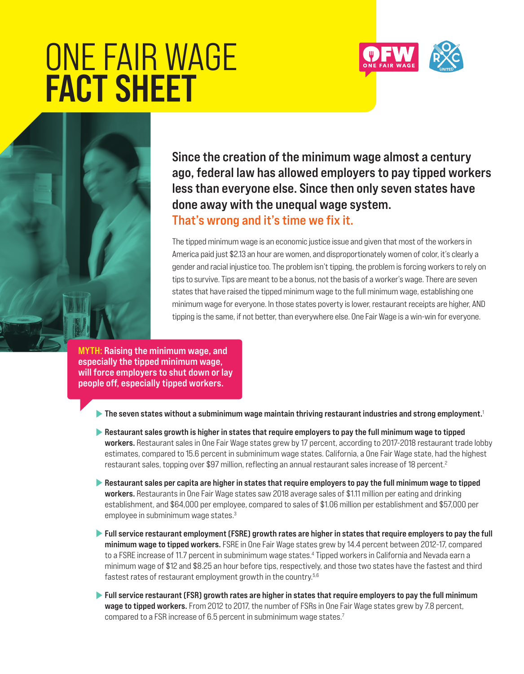# ONE FAIR WAGE FACT SHEET



Since the creation of the minimum wage almost a century ago, federal law has allowed employers to pay tipped workers less than everyone else. Since then only seven states have done away with the unequal wage system. That's wrong and it's time we fix it.

The tipped minimum wage is an economic justice issue and given that most of the workers in America paid just \$2.13 an hour are women, and disproportionately women of color, it's clearly a gender and racial injustice too. The problem isn't tipping, the problem is forcing workers to rely on tips to survive. Tips are meant to be a bonus, not the basis of a worker's wage. There are seven states that have raised the tipped minimum wage to the full minimum wage, establishing one minimum wage for everyone. In those states poverty is lower, restaurant receipts are higher, AND tipping is the same, if not better, than everywhere else. One Fair Wage is a win-win for everyone.

MYTH: Raising the minimum wage, and especially the tipped minimum wage, will force employers to shut down or lay people off, especially tipped workers.

The seven states without a subminimum wage maintain thriving restaurant industries and strong employment.<sup>1</sup>

- Restaurant sales growth is higher in states that require employers to pay the full minimum wage to tipped workers. Restaurant sales in One Fair Wage states grew by 17 percent, according to 2017-2018 restaurant trade lobby estimates, compared to 15.6 percent in subminimum wage states. California, a One Fair Wage state, had the highest restaurant sales, topping over \$97 million, reflecting an annual restaurant sales increase of 18 percent.<sup>2</sup>
- Restaurant sales per capita are higher in states that require employers to pay the full minimum wage to tipped workers. Restaurants in One Fair Wage states saw 2018 average sales of \$1.11 million per eating and drinking establishment, and \$64,000 per employee, compared to sales of \$1.06 million per establishment and \$57,000 per employee in subminimum wage states.<sup>3</sup>
- Full service restaurant employment (FSRE) growth rates are higher in states that require employers to pay the full minimum wage to tipped workers. FSRE in One Fair Wage states grew by 14.4 percent between 2012-17, compared to a FSRE increase of 11.7 percent in subminimum wage states.4 Tipped workers in California and Nevada earn a minimum wage of \$12 and \$8.25 an hour before tips, respectively, and those two states have the fastest and third fastest rates of restaurant employment growth in the country.<sup>5,6</sup>
- Full service restaurant (FSR) growth rates are higher in states that require employers to pay the full minimum wage to tipped workers. From 2012 to 2017, the number of FSRs in One Fair Wage states grew by 7.8 percent, compared to a FSR increase of 6.5 percent in subminimum wage states.<sup>7</sup>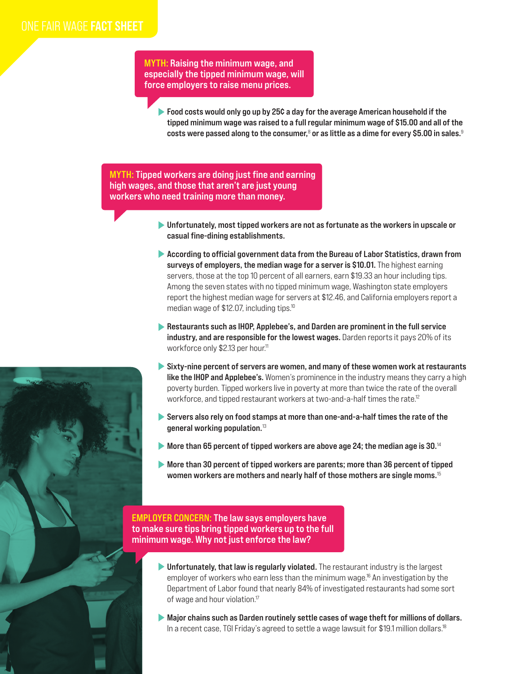MYTH: Raising the minimum wage, and especially the tipped minimum wage, will force employers to raise menu prices.

Food costs would only go up by 25¢ a day for the average American household if the tipped minimum wage was raised to a full regular minimum wage of \$15.00 and all of the costs were passed along to the consumer, $^{\rm 8}$  or as little as a dime for every \$5.00 in sales. $^{\rm 9}$ 

MYTH: Tipped workers are doing just fine and earning high wages, and those that aren't are just young workers who need training more than money.

- Unfortunately, most tipped workers are not as fortunate as the workers in upscale or casual fine-dining establishments.
- According to official government data from the Bureau of Labor Statistics, drawn from surveys of employers, the median wage for a server is \$10.01. The highest earning servers, those at the top 10 percent of all earners, earn \$19.33 an hour including tips. Among the seven states with no tipped minimum wage, Washington state employers report the highest median wage for servers at \$12.46, and California employers report a median wage of \$12.07, including tips.<sup>10</sup>
- Restaurants such as IHOP, Applebee's, and Darden are prominent in the full service industry, and are responsible for the lowest wages. Darden reports it pays 20% of its workforce only \$2.13 per hour.<sup>11</sup>
- Sixty-nine percent of servers are women, and many of these women work at restaurants **like the IHOP and Applebee's.** Women's prominence in the industry means they carry a high poverty burden. Tipped workers live in poverty at more than twice the rate of the overall workforce, and tipped restaurant workers at two-and-a-half times the rate.<sup>12</sup>
- Servers also rely on food stamps at more than one-and-a-half times the rate of the general working population.<sup>13</sup>
- More than 65 percent of tipped workers are above age 24; the median age is 30. $^{14}$
- More than 30 percent of tipped workers are parents; more than 36 percent of tipped women workers are mothers and nearly half of those mothers are single moms.<sup>15</sup>

EMPLOYER CONCERN: The law says employers have to make sure tips bring tipped workers up to the full minimum wage. Why not just enforce the law?

- Infortunately, that law is regularly violated. The restaurant industry is the largest employer of workers who earn less than the minimum wage.<sup>16</sup> An investigation by the Department of Labor found that nearly 84% of investigated restaurants had some sort of wage and hour violation.<sup>17</sup>
- Major chains such as Darden routinely settle cases of wage theft for millions of dollars. In a recent case, TGI Friday's agreed to settle a wage lawsuit for \$19.1 million dollars.<sup>18</sup>

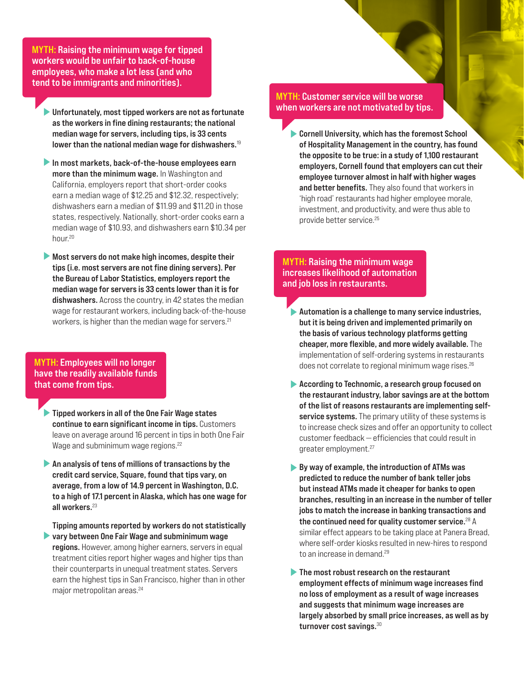MYTH: Raising the minimum wage for tipped workers would be unfair to back-of-house employees, who make a lot less (and who tend to be immigrants and minorities).

Unfortunately, most tipped workers are not as fortunate as the workers in fine dining restaurants; the national median wage for servers, including tips, is 33 cents lower than the national median wage for dishwashers.<sup>19</sup>

In most markets, back-of-the-house employees earn more than the minimum wage. In Washington and California, employers report that short-order cooks earn a median wage of \$12.25 and \$12.32, respectively; dishwashers earn a median of \$11.99 and \$11.20 in those states, respectively. Nationally, short-order cooks earn a median wage of \$10.93, and dishwashers earn \$10.34 per hour.<sup>20</sup>

Most servers do not make high incomes, despite their tips (i.e. most servers are not fine dining servers). Per the Bureau of Labor Statistics, employers report the median wage for servers is 33 cents lower than it is for dishwashers. Across the country, in 42 states the median wage for restaurant workers, including back-of-the-house workers, is higher than the median wage for servers.<sup>21</sup>

MYTH: Employees will no longer have the readily available funds that come from tips.

**Tipped workers in all of the One Fair Wage states** continue to earn significant income in tips. Customers leave on average around 16 percent in tips in both One Fair Wage and subminimum wage regions.<sup>22</sup>

 $\blacktriangleright$  An analysis of tens of millions of transactions by the credit card service, Square, found that tips vary, on average, from a low of 14.9 percent in Washington, D.C. to a high of 17.1 percent in Alaska, which has one wage for all workers.<sup>23</sup>

Tipping amounts reported by workers do not statistically **Example 1 yeary between One Fair Wage and subminimum wage** regions. However, among higher earners, servers in equal treatment cities report higher wages and higher tips than their counterparts in unequal treatment states. Servers earn the highest tips in San Francisco, higher than in other major metropolitan areas.<sup>24</sup>

#### MYTH: Customer service will be worse when workers are not motivated by tips.

Cornell University, which has the foremost School of Hospitality Management in the country, has found the opposite to be true: in a study of 1,100 restaurant employers, Cornell found that employers can cut their employee turnover almost in half with higher wages and better benefits. They also found that workers in 'high road' restaurants had higher employee morale, investment, and productivity, and were thus able to provide better service.25

#### MYTH: Raising the minimum wage increases likelihood of automation and job loss in restaurants.

- Automation is a challenge to many service industries, but it is being driven and implemented primarily on the basis of various technology platforms getting cheaper, more flexible, and more widely available. The implementation of self-ordering systems in restaurants does not correlate to regional minimum wage rises.26
- According to Technomic, a research group focused on the restaurant industry, labor savings are at the bottom of the list of reasons restaurants are implementing selfservice systems. The primary utility of these systems is to increase check sizes and offer an opportunity to collect customer feedback — efficiencies that could result in greater employment.<sup>27</sup>
- $\blacktriangleright$  By way of example, the introduction of ATMs was predicted to reduce the number of bank teller jobs but instead ATMs made it cheaper for banks to open branches, resulting in an increase in the number of teller jobs to match the increase in banking transactions and the continued need for quality customer service.<sup>28</sup> A similar effect appears to be taking place at Panera Bread, where self-order kiosks resulted in new-hires to respond to an increase in demand.<sup>29</sup>
- The most robust research on the restaurant employment effects of minimum wage increases find no loss of employment as a result of wage increases and suggests that minimum wage increases are largely absorbed by small price increases, as well as by turnover cost savings.<sup>30</sup>